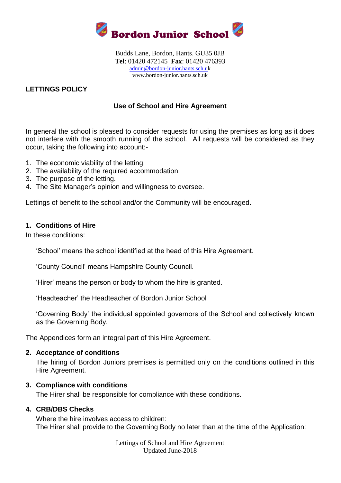

Budds Lane, Bordon, Hants. GU35 0JB **Tel**: 01420 472145 **Fax**: 01420 476393 [admin@bordon-junior.hants.sch.uk](mailto:admin@bordon-junior.hants.sch.u) www.bordon-junior.hants.sch.uk

## **LETTINGS POLICY**

### **Use of School and Hire Agreement**

In general the school is pleased to consider requests for using the premises as long as it does not interfere with the smooth running of the school. All requests will be considered as they occur, taking the following into account:-

- 1. The economic viability of the letting.
- 2. The availability of the required accommodation.
- 3. The purpose of the letting.
- 4. The Site Manager's opinion and willingness to oversee.

Lettings of benefit to the school and/or the Community will be encouraged.

#### **1. Conditions of Hire**

In these conditions:

'School' means the school identified at the head of this Hire Agreement.

'County Council' means Hampshire County Council.

'Hirer' means the person or body to whom the hire is granted.

'Headteacher' the Headteacher of Bordon Junior School

'Governing Body' the individual appointed governors of the School and collectively known as the Governing Body.

The Appendices form an integral part of this Hire Agreement.

#### **2. Acceptance of conditions**

The hiring of Bordon Juniors premises is permitted only on the conditions outlined in this Hire Agreement.

#### **3. Compliance with conditions**

The Hirer shall be responsible for compliance with these conditions.

#### **4. CRB/DBS Checks**

Where the hire involves access to children: The Hirer shall provide to the Governing Body no later than at the time of the Application:

> Lettings of School and Hire Agreement Updated June-2018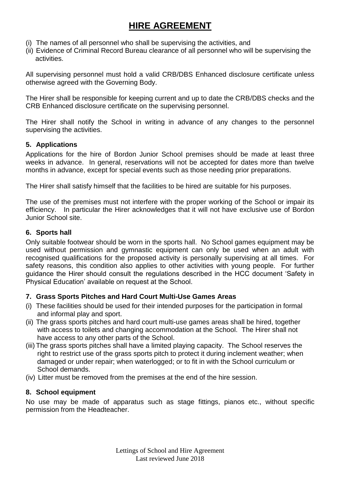- (i) The names of all personnel who shall be supervising the activities, and
- (ii) Evidence of Criminal Record Bureau clearance of all personnel who will be supervising the activities.

All supervising personnel must hold a valid CRB/DBS Enhanced disclosure certificate unless otherwise agreed with the Governing Body.

The Hirer shall be responsible for keeping current and up to date the CRB/DBS checks and the CRB Enhanced disclosure certificate on the supervising personnel.

The Hirer shall notify the School in writing in advance of any changes to the personnel supervising the activities.

## **5. Applications**

Applications for the hire of Bordon Junior School premises should be made at least three weeks in advance. In general, reservations will not be accepted for dates more than twelve months in advance, except for special events such as those needing prior preparations.

The Hirer shall satisfy himself that the facilities to be hired are suitable for his purposes.

The use of the premises must not interfere with the proper working of the School or impair its efficiency. In particular the Hirer acknowledges that it will not have exclusive use of Bordon Junior School site.

## **6. Sports hall**

Only suitable footwear should be worn in the sports hall. No School games equipment may be used without permission and gymnastic equipment can only be used when an adult with recognised qualifications for the proposed activity is personally supervising at all times. For safety reasons, this condition also applies to other activities with young people. For further guidance the Hirer should consult the regulations described in the HCC document 'Safety in Physical Education' available on request at the School.

## **7. Grass Sports Pitches and Hard Court Multi-Use Games Areas**

- (i) These facilities should be used for their intended purposes for the participation in formal and informal play and sport.
- (ii) The grass sports pitches and hard court multi-use games areas shall be hired, together with access to toilets and changing accommodation at the School. The Hirer shall not have access to any other parts of the School.
- (iii) The grass sports pitches shall have a limited playing capacity. The School reserves the right to restrict use of the grass sports pitch to protect it during inclement weather; when damaged or under repair; when waterlogged; or to fit in with the School curriculum or School demands.
- (iv) Litter must be removed from the premises at the end of the hire session.

## **8. School equipment**

No use may be made of apparatus such as stage fittings, pianos etc., without specific permission from the Headteacher.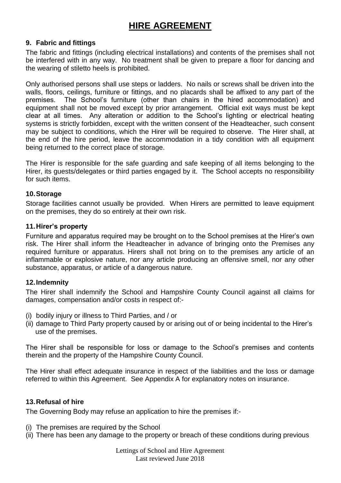## **9. Fabric and fittings**

The fabric and fittings (including electrical installations) and contents of the premises shall not be interfered with in any way. No treatment shall be given to prepare a floor for dancing and the wearing of stiletto heels is prohibited.

Only authorised persons shall use steps or ladders. No nails or screws shall be driven into the walls, floors, ceilings, furniture or fittings, and no placards shall be affixed to any part of the premises. The School's furniture (other than chairs in the hired accommodation) and equipment shall not be moved except by prior arrangement. Official exit ways must be kept clear at all times. Any alteration or addition to the School's lighting or electrical heating systems is strictly forbidden, except with the written consent of the Headteacher, such consent may be subject to conditions, which the Hirer will be required to observe. The Hirer shall, at the end of the hire period, leave the accommodation in a tidy condition with all equipment being returned to the correct place of storage.

The Hirer is responsible for the safe guarding and safe keeping of all items belonging to the Hirer, its guests/delegates or third parties engaged by it. The School accepts no responsibility for such items.

#### **10.Storage**

Storage facilities cannot usually be provided. When Hirers are permitted to leave equipment on the premises, they do so entirely at their own risk.

#### **11.Hirer's property**

Furniture and apparatus required may be brought on to the School premises at the Hirer's own risk. The Hirer shall inform the Headteacher in advance of bringing onto the Premises any required furniture or apparatus. Hirers shall not bring on to the premises any article of an inflammable or explosive nature, nor any article producing an offensive smell, nor any other substance, apparatus, or article of a dangerous nature.

## **12.Indemnity**

The Hirer shall indemnify the School and Hampshire County Council against all claims for damages, compensation and/or costs in respect of:-

- (i) bodily injury or illness to Third Parties, and / or
- (ii) damage to Third Party property caused by or arising out of or being incidental to the Hirer's use of the premises.

The Hirer shall be responsible for loss or damage to the School's premises and contents therein and the property of the Hampshire County Council.

The Hirer shall effect adequate insurance in respect of the liabilities and the loss or damage referred to within this Agreement. See Appendix A for explanatory notes on insurance.

## **13.Refusal of hire**

The Governing Body may refuse an application to hire the premises if:-

- (i) The premises are required by the School
- (ii) There has been any damage to the property or breach of these conditions during previous

Lettings of School and Hire Agreement Last reviewed June 2018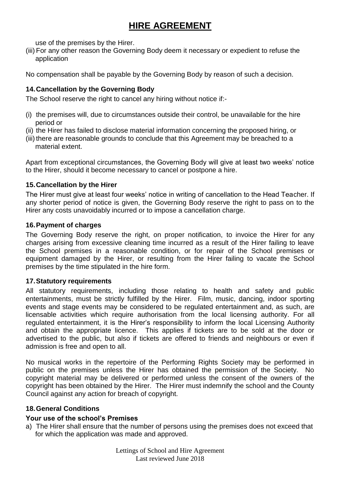use of the premises by the Hirer.

(iii) For any other reason the Governing Body deem it necessary or expedient to refuse the application

No compensation shall be payable by the Governing Body by reason of such a decision.

## **14.Cancellation by the Governing Body**

The School reserve the right to cancel any hiring without notice if:-

- (i) the premises will, due to circumstances outside their control, be unavailable for the hire period or
- (ii) the Hirer has failed to disclose material information concerning the proposed hiring, or
- (iii) there are reasonable grounds to conclude that this Agreement may be breached to a material extent.

Apart from exceptional circumstances, the Governing Body will give at least two weeks' notice to the Hirer, should it become necessary to cancel or postpone a hire.

#### **15.Cancellation by the Hirer**

The Hirer must give at least four weeks' notice in writing of cancellation to the Head Teacher. If any shorter period of notice is given, the Governing Body reserve the right to pass on to the Hirer any costs unavoidably incurred or to impose a cancellation charge.

#### **16.Payment of charges**

The Governing Body reserve the right, on proper notification, to invoice the Hirer for any charges arising from excessive cleaning time incurred as a result of the Hirer failing to leave the School premises in a reasonable condition, or for repair of the School premises or equipment damaged by the Hirer, or resulting from the Hirer failing to vacate the School premises by the time stipulated in the hire form.

#### **17.Statutory requirements**

All statutory requirements, including those relating to health and safety and public entertainments, must be strictly fulfilled by the Hirer. Film, music, dancing, indoor sporting events and stage events may be considered to be regulated entertainment and, as such, are licensable activities which require authorisation from the local licensing authority. For all regulated entertainment, it is the Hirer's responsibility to inform the local Licensing Authority and obtain the appropriate licence. This applies if tickets are to be sold at the door or advertised to the public, but also if tickets are offered to friends and neighbours or even if admission is free and open to all.

No musical works in the repertoire of the Performing Rights Society may be performed in public on the premises unless the Hirer has obtained the permission of the Society. No copyright material may be delivered or performed unless the consent of the owners of the copyright has been obtained by the Hirer. The Hirer must indemnify the school and the County Council against any action for breach of copyright.

#### **18.General Conditions**

#### **Your use of the school's Premises**

a) The Hirer shall ensure that the number of persons using the premises does not exceed that for which the application was made and approved.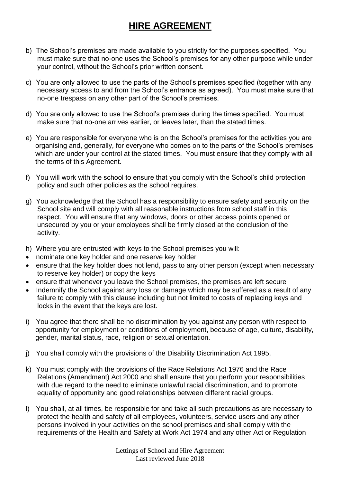- b) The School's premises are made available to you strictly for the purposes specified. You must make sure that no-one uses the School's premises for any other purpose while under your control, without the School's prior written consent.
- c) You are only allowed to use the parts of the School's premises specified (together with any necessary access to and from the School's entrance as agreed). You must make sure that no-one trespass on any other part of the School's premises.
- d) You are only allowed to use the School's premises during the times specified. You must make sure that no-one arrives earlier, or leaves later, than the stated times.
- e) You are responsible for everyone who is on the School's premises for the activities you are organising and, generally, for everyone who comes on to the parts of the School's premises which are under your control at the stated times. You must ensure that they comply with all the terms of this Agreement.
- f) You will work with the school to ensure that you comply with the School's child protection policy and such other policies as the school requires.
- g) You acknowledge that the School has a responsibility to ensure safety and security on the School site and will comply with all reasonable instructions from school staff in this respect. You will ensure that any windows, doors or other access points opened or unsecured by you or your employees shall be firmly closed at the conclusion of the activity.
- h) Where you are entrusted with keys to the School premises you will:
- nominate one key holder and one reserve key holder
- ensure that the key holder does not lend, pass to any other person (except when necessary to reserve key holder) or copy the keys
- ensure that whenever you leave the School premises, the premises are left secure
- Indemnify the School against any loss or damage which may be suffered as a result of any failure to comply with this clause including but not limited to costs of replacing keys and locks in the event that the keys are lost.
- i) You agree that there shall be no discrimination by you against any person with respect to opportunity for employment or conditions of employment, because of age, culture, disability, gender, marital status, race, religion or sexual orientation.
- j) You shall comply with the provisions of the Disability Discrimination Act 1995.
- k) You must comply with the provisions of the Race Relations Act 1976 and the Race Relations (Amendment) Act 2000 and shall ensure that you perform your responsibilities with due regard to the need to eliminate unlawful racial discrimination, and to promote equality of opportunity and good relationships between different racial groups.
- l) You shall, at all times, be responsible for and take all such precautions as are necessary to protect the health and safety of all employees, volunteers, service users and any other persons involved in your activities on the school premises and shall comply with the requirements of the Health and Safety at Work Act 1974 and any other Act or Regulation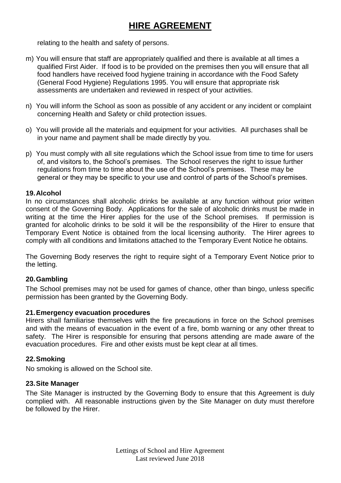relating to the health and safety of persons.

- m) You will ensure that staff are appropriately qualified and there is available at all times a qualified First Aider. If food is to be provided on the premises then you will ensure that all food handlers have received food hygiene training in accordance with the Food Safety (General Food Hygiene) Regulations 1995. You will ensure that appropriate risk assessments are undertaken and reviewed in respect of your activities.
- n) You will inform the School as soon as possible of any accident or any incident or complaint concerning Health and Safety or child protection issues.
- o) You will provide all the materials and equipment for your activities. All purchases shall be in your name and payment shall be made directly by you.
- p) You must comply with all site regulations which the School issue from time to time for users of, and visitors to, the School's premises. The School reserves the right to issue further regulations from time to time about the use of the School's premises. These may be general or they may be specific to your use and control of parts of the School's premises.

#### **19.Alcohol**

In no circumstances shall alcoholic drinks be available at any function without prior written consent of the Governing Body. Applications for the sale of alcoholic drinks must be made in writing at the time the Hirer applies for the use of the School premises. If permission is granted for alcoholic drinks to be sold it will be the responsibility of the Hirer to ensure that Temporary Event Notice is obtained from the local licensing authority. The Hirer agrees to comply with all conditions and limitations attached to the Temporary Event Notice he obtains.

The Governing Body reserves the right to require sight of a Temporary Event Notice prior to the letting.

## **20.Gambling**

The School premises may not be used for games of chance, other than bingo, unless specific permission has been granted by the Governing Body.

#### **21.Emergency evacuation procedures**

Hirers shall familiarise themselves with the fire precautions in force on the School premises and with the means of evacuation in the event of a fire, bomb warning or any other threat to safety. The Hirer is responsible for ensuring that persons attending are made aware of the evacuation procedures. Fire and other exists must be kept clear at all times.

#### **22.Smoking**

No smoking is allowed on the School site.

#### **23.Site Manager**

The Site Manager is instructed by the Governing Body to ensure that this Agreement is duly complied with. All reasonable instructions given by the Site Manager on duty must therefore be followed by the Hirer.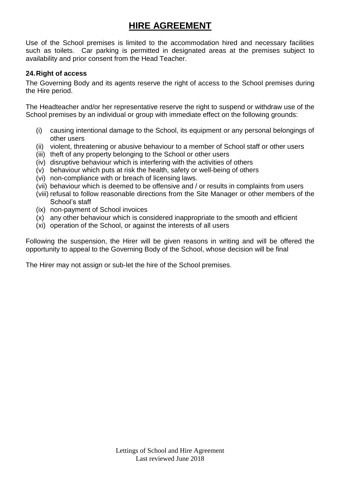Use of the School premises is limited to the accommodation hired and necessary facilities such as toilets. Car parking is permitted in designated areas at the premises subject to availability and prior consent from the Head Teacher.

## **24.Right of access**

The Governing Body and its agents reserve the right of access to the School premises during the Hire period.

The Headteacher and/or her representative reserve the right to suspend or withdraw use of the School premises by an individual or group with immediate effect on the following grounds:

- (i) causing intentional damage to the School, its equipment or any personal belongings of other users
- (ii) violent, threatening or abusive behaviour to a member of School staff or other users
- (iii) theft of any property belonging to the School or other users
- (iv) disruptive behaviour which is interfering with the activities of others
- (v) behaviour which puts at risk the health, safety or well-being of others
- (vi) non-compliance with or breach of licensing laws.
- (vii) behaviour which is deemed to be offensive and / or results in complaints from users
- (viii) refusal to follow reasonable directions from the Site Manager or other members of the School's staff
- (ix) non-payment of School invoices
- (x) any other behaviour which is considered inappropriate to the smooth and efficient
- (xi) operation of the School, or against the interests of all users

Following the suspension, the Hirer will be given reasons in writing and will be offered the opportunity to appeal to the Governing Body of the School, whose decision will be final

The Hirer may not assign or sub-let the hire of the School premises.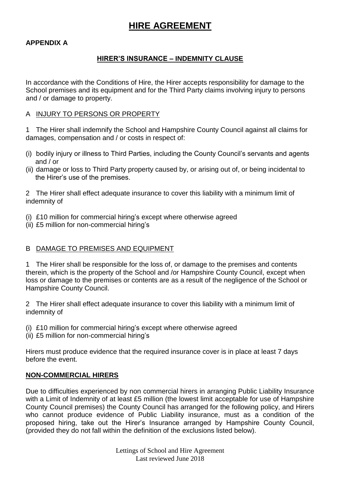## **APPENDIX A**

## **HIRER'S INSURANCE – INDEMNITY CLAUSE**

In accordance with the Conditions of Hire, the Hirer accepts responsibility for damage to the School premises and its equipment and for the Third Party claims involving injury to persons and / or damage to property.

#### A INJURY TO PERSONS OR PROPERTY

1 The Hirer shall indemnify the School and Hampshire County Council against all claims for damages, compensation and / or costs in respect of:

- (i) bodily injury or illness to Third Parties, including the County Council's servants and agents and / or
- (ii) damage or loss to Third Party property caused by, or arising out of, or being incidental to the Hirer's use of the premises.

2 The Hirer shall effect adequate insurance to cover this liability with a minimum limit of indemnity of

- (i) £10 million for commercial hiring's except where otherwise agreed
- (ii) £5 million for non-commercial hiring's

## B DAMAGE TO PREMISES AND EQUIPMENT

1 The Hirer shall be responsible for the loss of, or damage to the premises and contents therein, which is the property of the School and /or Hampshire County Council, except when loss or damage to the premises or contents are as a result of the negligence of the School or Hampshire County Council.

2 The Hirer shall effect adequate insurance to cover this liability with a minimum limit of indemnity of

- (i) £10 million for commercial hiring's except where otherwise agreed
- (ii) £5 million for non-commercial hiring's

Hirers must produce evidence that the required insurance cover is in place at least 7 days before the event.

## **NON-COMMERCIAL HIRERS**

Due to difficulties experienced by non commercial hirers in arranging Public Liability Insurance with a Limit of Indemnity of at least £5 million (the lowest limit acceptable for use of Hampshire County Council premises) the County Council has arranged for the following policy, and Hirers who cannot produce evidence of Public Liability insurance, must as a condition of the proposed hiring, take out the Hirer's Insurance arranged by Hampshire County Council, (provided they do not fall within the definition of the exclusions listed below).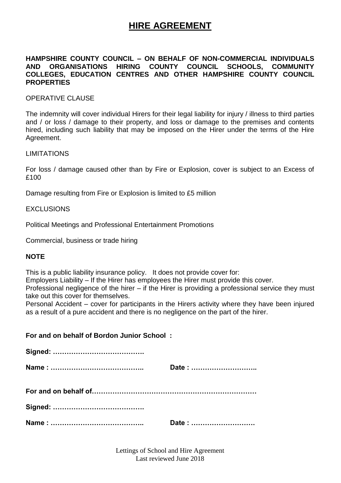#### **HAMPSHIRE COUNTY COUNCIL – ON BEHALF OF NON-COMMERCIAL INDIVIDUALS AND ORGANISATIONS HIRING COUNTY COUNCIL SCHOOLS, COMMUNITY COLLEGES, EDUCATION CENTRES AND OTHER HAMPSHIRE COUNTY COUNCIL PROPERTIES**

#### OPERATIVE CLAUSE

The indemnity will cover individual Hirers for their legal liability for injury / illness to third parties and / or loss / damage to their property, and loss or damage to the premises and contents hired, including such liability that may be imposed on the Hirer under the terms of the Hire Agreement.

#### LIMITATIONS

For loss / damage caused other than by Fire or Explosion, cover is subject to an Excess of £100

Damage resulting from Fire or Explosion is limited to £5 million

#### EXCLUSIONS

Political Meetings and Professional Entertainment Promotions

Commercial, business or trade hiring

#### **NOTE**

This is a public liability insurance policy. It does not provide cover for:

Employers Liability – If the Hirer has employees the Hirer must provide this cover.

Professional negligence of the hirer – if the Hirer is providing a professional service they must take out this cover for themselves.

Personal Accident – cover for participants in the Hirers activity where they have been injured as a result of a pure accident and there is no negligence on the part of the hirer.

#### **For and on behalf of Bordon Junior School :**

| Date: |
|-------|
|       |
|       |
| Date: |

Lettings of School and Hire Agreement Last reviewed June 2018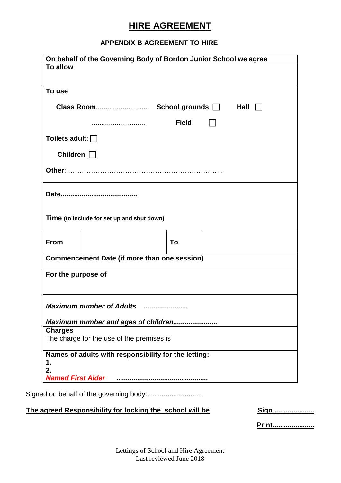## **APPENDIX B AGREEMENT TO HIRE**

| <b>To allow</b>       |                                                      |
|-----------------------|------------------------------------------------------|
| To use                |                                                      |
|                       |                                                      |
|                       | <b>Field</b>                                         |
| Toilets adult: $\Box$ |                                                      |
| Children $\Box$       |                                                      |
|                       |                                                      |
|                       |                                                      |
|                       |                                                      |
|                       | Time (to include for set up and shut down)           |
| <b>From</b>           | To                                                   |
|                       | <b>Commencement Date (if more than one session)</b>  |
| For the purpose of    |                                                      |
|                       |                                                      |
|                       | <b>Maximum number of Adults</b>                      |
|                       | Maximum number and ages of children                  |
| <b>Charges</b>        |                                                      |
|                       | The charge for the use of the premises is            |
|                       | Names of adults with responsibility for the letting: |
|                       |                                                      |
| 1.<br>2.              |                                                      |

The agreed Responsibility for locking the school will be **Sign ..................** 

**Print......................**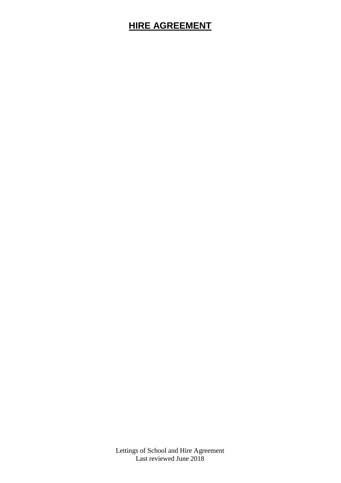Lettings of School and Hire Agreement Last reviewed June 2018